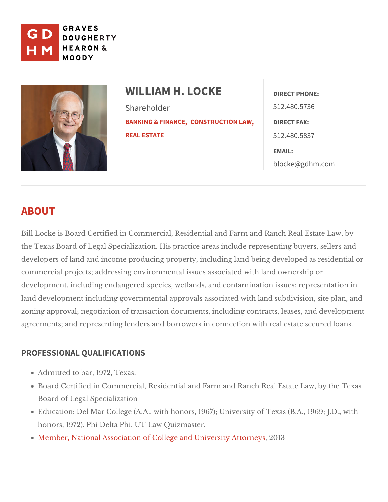

WILLIAM H. LOCK<sub>DERECT PHONE:</sub> Shareholder [BANKING & F](https://www.gdhm.com/practice-areas/banking-finance/)IQUANSERUCTION LEAINRECT FAX: [REAL ES](https://www.gdhm.com/practice-areas/real-estate/)TATE 512.480.5736 512.480.5837 EMAIL: [blocke@gdh](mailto:blocke@gdhm.com)m.com

# ABOUT

Bill Locke is Board Certified in Commercial, Residential and Farm and Ranch the Texas Board of Legal Specialization. His practice areas include represen developers of land and income producing property, including land being deve commercial projects; addressing environmental issues associated with land o development, including endangered species, wetlands, and contamination iss land development including governmental approvals associated with land sub zoning approval; negotiation of transaction documents, including contracts, I agreements; and representing lenders and borrowers in connection dwidthannseal

## PROFESSIONAL QUALIFICATIONS

Admitted to  $b\sqrt{97,2}$ , Texas.

Board Certified in Commercial, Residential and Farm and Ranch Real Esta Board degal Specialization

Education: Del Mar College (A.A., with honors, 1967); University of Texas honors, 1972). Phi Deltha Ruh Quill  $Z$  Tm aster.

Member, National Association of College Aatri**dible** when Say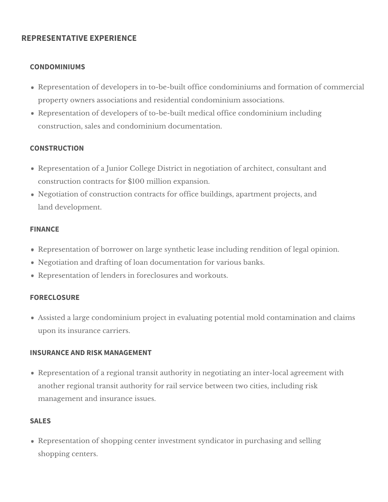### **REPRESENTATIVE EXPERIENCE**

### **CONDOMINIUMS**

- Representation of developers in to-be-built office condominiums and formation of commercial property owners associations and residential condominium associations.
- Representation of developers of to-be-built medical office condominium including construction, sales and condominium documentation.

### **CONSTRUCTION**

- Representation of a Junior College District in negotiation of architect, consultant and construction contracts for \$100 million expansion.
- Negotiation of construction contracts for office buildings, apartment projects, and land development.

### **FINANCE**

- Representation of borrower on large synthetic lease including rendition of legal opinion.
- Negotiation and drafting of loan documentation for various banks.
- Representation of lenders in foreclosures and workouts.

### **FORECLOSURE**

Assisted a large condominium project in evaluating potential mold contamination and claims upon its insurance carriers.

### **INSURANCE AND RISK MANAGEMENT**

Representation of a regional transit authority in negotiating an inter-local agreement with another regional transit authority for rail service between two cities, including risk management and insurance issues.

### **SALES**

Representation of shopping center investment syndicator in purchasing and selling shopping centers.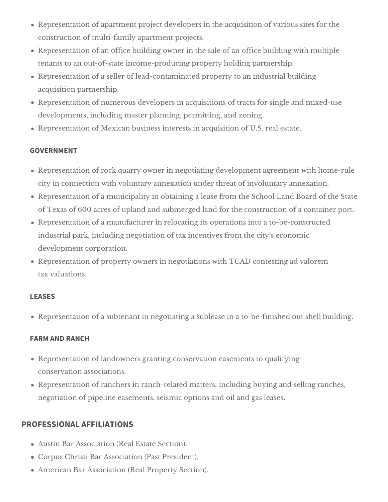- Representation of apartment project developers in the acquisition of various sites for the construction of multi-family apartment projects.
- Representation of an office building owner in the sale of an office building with multiple tenants to an out-of-state income-producing property holding partnership.
- Representation of a seller of lead-contaminated property to an industrial building acquisition partnership.
- Representation of numerous developers in acquisitions of tracts for single and mixed-use developments, including master planning, permitting, and zoning.
- Representation of Mexican business interests in acquisition of U.S. real estate.

## **GOVERNMENT**

- Representation of rock quarry owner in negotiating development agreement with home-rule city in connection with voluntary annexation under threat of involuntary annexation.
- Representation of a municipality in obtaining a lease from the School Land Board of the State of Texas of 600 acres of upland and submerged land for the construction of a container port.
- Representation of a manufacturer in relocating its operations into a to-be-constructed industrial park, including negotiation of tax incentives from the city's economic development corporation.
- Representation of property owners in negotiations with TCAD contesting ad valorem tax valuations.

## **LEASES**

Representation of a subtenant in negotiating a sublease in a to-be-finished out shell building.

## **FARM AND RANCH**

- Representation of landowners granting conservation easements to qualifying conservation associations.
- Representation of ranchers in ranch-related matters, including buying and selling ranches, negotiation of pipeline easements, seismic options and oil and gas leases.

## **PROFESSIONAL AFFILIATIONS**

- Austin Bar Association (Real Estate Section).
- Corpus Christi Bar Association (Past President).
- American Bar Association (Real Property Section).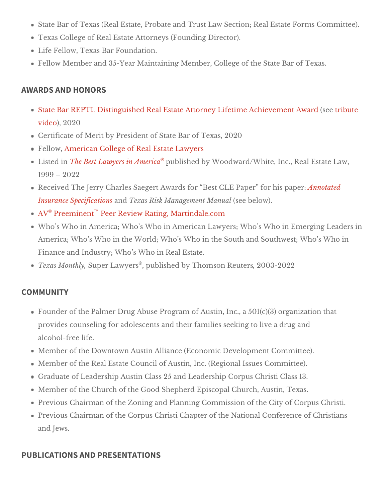State Bar of Texas (Real Estate, Probate and Trust LaFworSnesctComm; mRetaele Est Texas College of Real Estat (FA tutrod hreg Director).

Life Fellow, The and Foundation.

Fellow Member and 35-Year Maintaining Member, Colleggie Toefxahse State Bar

### AWARDS AND HONORS

[State Bar REPTL Distinguished Real Estate Attorney Lifetim](http://www.reptl.org/uploads/RE Lifetime Achievement Award BILL LOCKE with Link Bio.pdf) es enter heine the men [vide](https://www.tribute.co/bill-locke/)b, 2020 Certificate of Merit by President of State BOa20of FellowA merican College of Real Estate Lawyers Listed The Best Lawyers in Aumbeisthed by Woodward/White, Inc., Real Estate 1999 2022 Received The Jerry Charles Saegert Awards for Best CLE **A**rPracted for his [Insurance Speci](https://www.gdhm.com/wp-content/uploads/2016/08/whl-annotated-insurance-specifications.pdf)fact at Examps Risk Management selle abelow).  $A\mathcal{V}$  Preemin<sup>t</sup>  $nR$  eer Review Rating, Martindale.com Who s Who in America; Who s Who in American Lawyers; Who s Who in En America; Who s Who in the World; Who s Who in the South and Southwest Finance and Industry; Who  $\mathbb B$  eW  $\mathbb B$  sitiate.

Texas Mont $\mathcal{B}$  uper Law $\mathcal{P}$ , epsublished by Thomson,  $\mathcal{R}$  @ 013 e2  $\mathcal{S}$  22

### COMMUNITY

Founder of the Palmer Drug Abuse Program of Austin, Inc., a  $501(c)(3)$  or provides counseling for adolescents and their families seeking to live a d alcohol-free life.

Member of the Downtown Austin AlliancDe e (VEed op on meind Committee).

Member of the Real Estate Council of Austingslunecs. (CReengmiotrate).

Graduate of Leadership Austin Class 25 and LeaderGhapsC1o3rpus Christi

Member of the Church of the Good Shepherd EpAsussoppal Techxuars.h,

Previous Chairman of the Zoning and Planning Commis Coopus CheisCtity of Previous Chairman of the Corpus Christi Chapter of the National Conferer and Jews.

### PUBLICATIONS AND PRESENTATIONS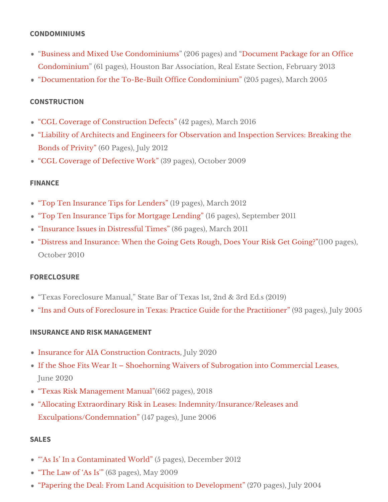#### CONDOMINIUMS

[Business and Mixed Use Cond](https://www.gdhm.com/wp-content/uploads/2016/08/whl-Business_and_Mixed_Use_Condominiums_Part_1.pdf)om2i0n6upmages) Daonodument Package for an Offic [Condominiu](https://www.gdhm.com/wp-content/uploads/2016/08/whl-Business_and_Mixed_Use_Condominiums_Part_2.pdf)m (61 pages), Houston Bar Association, ReFaelbEstature 250 el Stion, Documentation for the To-Be-Built Office C  $\hat{\rho}$ 2005 pangiled sn)r, ch 2005

### CONSTRUCTION

CGL Coverage of Construction 4 Departs  $\mathfrak{g}_1$ , March 2016 Liability of Architects and Engineers for Observation and Inspection Serv [Bonds of Pri](https://www.gdhm.com/wp-content/uploads/2016/08/whl-liability-of-architects-and-engineers-for-observation-and-inspection-services.pdf)v(600 Pages)y 2012 CGL Coverage of Defective 39 Published [CGL Coverage of Defecti](https://www.gdhm.com/wp-content/uploads/2016/08/whl-cgl_coverage-of-defective_work.pdf)ve 39 Published St.

#### FINANCE

Top Ten Insurance Tips for  $(L1e9n \phi \alpha \cos \theta)$ , Ch 2012 Top Ten Insurance Tips for Mortgage plaegnedsing September 2011 Insurance Issues in Distress(f&G pages), ch 2011 Distress and Insurance: When the Going Gets Rough, Does Yoo um Rg & Get October 2010

### FORECLOSURE

Texas Foreclosure Manual, State Bar of TexEads s1 \$2,0 2 & B 3rd Ins and Outs of Foreclosure in Texas: Practice Guide (9GGr pthe edely a c20t0 one

#### INSURANCE AND RISK MANAGEMENT

[Insurance for AIA Constructio](https://www.gdhm.com/wp-content/uploads/2016/07/Insurance-for-AIA-Construction-Contracts-Advanced-Real-Estate-Locke-July-2020.pdf)n JQ byn t2@ 20s

If the Shoe Fits Wear It Shoehorning Waivers of Subrogation into Comm June 2020

Texas Risk Management (Manages), 2018

Allocating Extraordinary Risk in Leases: Indemnity/Insurance/Releases a  $Exculpations/Condemn@14407npaglu@3)$  $Exculpations/Condemn@14407npaglu@3)$   $(2006$ 

### SALES

As Is In a Contaminate (15 Wp angle December 2012 The Law of  $A $6I3s'pag$   $Msa$ )  $y 2009$ Papering the Deal: From Land Acquisition to 2D7e0ve boopbook by n 2004